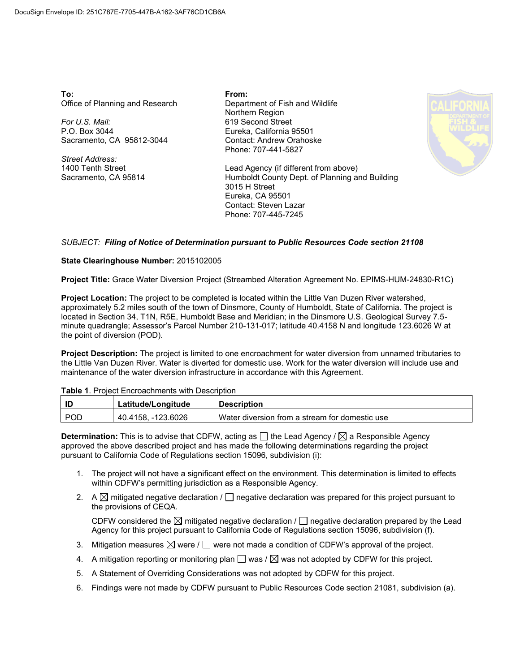**To:** Office of Planning and Research

*For U.S. Mail:* P.O. Box 3044 Sacramento, CA 95812-3044

*Street Address:* 1400 Tenth Street Sacramento, CA 95814 **From:** Department of Fish and Wildlife Northern Region 619 Second Street Eureka, California 95501 Contact: Andrew Orahoske Phone: 707-441-5827



Lead Agency (if different from above) Humboldt County Dept. of Planning and Building 3015 H Street Eureka, CA 95501 Contact: Steven Lazar Phone: 707-445-7245

## *SUBJECT: Filing of Notice of Determination pursuant to Public Resources Code section 21108*

## **State Clearinghouse Number:** 2015102005

**Project Title:** Grace Water Diversion Project (Streambed Alteration Agreement No. EPIMS-HUM-24830-R1C)

**Project Location:** The project to be completed is located within the Little Van Duzen River watershed, approximately 5.2 miles south of the town of Dinsmore, County of Humboldt, State of California. The project is located in Section 34, T1N, R5E, Humboldt Base and Meridian; in the Dinsmore U.S. Geological Survey 7.5 minute quadrangle; Assessor's Parcel Number 210-131-017; latitude 40.4158 N and longitude 123.6026 W at the point of diversion (POD).

**Project Description:** The project is limited to one encroachment for water diversion from unnamed tributaries to the Little Van Duzen River. Water is diverted for domestic use. Work for the water diversion will include use and maintenance of the water diversion infrastructure in accordance with this Agreement.

|  | Table 1. Project Encroachments with Description |  |
|--|-------------------------------------------------|--|
|--|-------------------------------------------------|--|

| ТD         | Latitude/Longitude   | <b>Description</b>                             |
|------------|----------------------|------------------------------------------------|
| <b>POD</b> | 123.6026<br>40.4158. | Water diversion from a stream for domestic use |

**Determination:** This is to advise that CDFW, acting as  $\Box$  the Lead Agency /  $\boxtimes$  a Responsible Agency approved the above described project and has made the following determinations regarding the project pursuant to California Code of Regulations section 15096, subdivision (i):

- 1. The project will not have a significant effect on the environment. This determination is limited to effects within CDFW's permitting jurisdiction as a Responsible Agency.
- 2. A  $\boxtimes$  mitigated negative declaration /  $\Box$  negative declaration was prepared for this project pursuant to the provisions of CEQA.

CDFW considered the  $\boxtimes$  mitigated negative declaration /  $\Box$  negative declaration prepared by the Lead Agency for this project pursuant to California Code of Regulations section 15096, subdivision (f).

- Agency for this project pursuant to California Code of Regulations section 15096, subdivision (f).<br>3. Mitigation measures  $\boxtimes$  were /  $\Box$  were not made a condition of CDFW's approval of the project.
- 4. A mitigation reporting or monitoring plan  $\Box$  was /  $\boxtimes$  was not adopted by CDFW for this project.
- 5. A Statement of Overriding Considerations was not adopted by CDFW for this project.
- 6. Findings were not made by CDFW pursuant to Public Resources Code section 21081, subdivision (a).